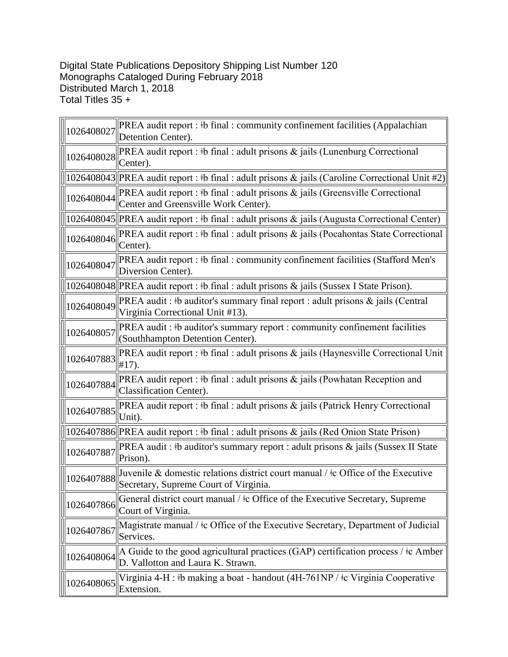## Digital State Publications Depository Shipping List Number 120 Monographs Cataloged During February 2018 Distributed March 1, 2018 Total Titles 35 +

| 1026408027 | PREA audit report : #b final : community confinement facilities (Appalachian<br>Detention Center).                           |
|------------|------------------------------------------------------------------------------------------------------------------------------|
| 1026408028 | PREA audit report : #b final : adult prisons & jails (Lunenburg Correctional<br>Center).                                     |
|            | 1026408043  PREA audit report : #b final : adult prisons & jails (Caroline Correctional Unit #2)                             |
| 1026408044 | PREA audit report : #b final : adult prisons & jails (Greensville Correctional<br>Center and Greensville Work Center).       |
|            | 1026408045  PREA audit report : #b final : adult prisons & jails (Augusta Correctional Center)                               |
| 1026408046 | PREA audit report : #b final : adult prisons & jails (Pocahontas State Correctional<br>Center).                              |
| 1026408047 | PREA audit report : #b final : community confinement facilities (Stafford Men's<br>Diversion Center).                        |
|            | 1026408048  PREA audit report : #b final : adult prisons & jails (Sussex I State Prison).                                    |
| 1026408049 | PREA audit : #b auditor's summary final report : adult prisons & jails (Central<br>Virginia Correctional Unit #13).          |
| 1026408057 | PREA audit : #b auditor's summary report : community confinement facilities<br>(Southhampton Detention Center).              |
| 1026407883 | PREA audit report : #b final : adult prisons & jails (Haynesville Correctional Unit<br>$#17$ ).                              |
| 1026407884 | <b>PREA</b> audit report : #b final : adult prisons $\&$ jails (Powhatan Reception and<br>Classification Center).            |
| 1026407885 | PREA audit report : #b final : adult prisons & jails (Patrick Henry Correctional<br>Unit).                                   |
|            | 1026407886  PREA audit report : #b final : adult prisons & jails (Red Onion State Prison)                                    |
| 1026407887 | PREA audit : #b auditor's summary report : adult prisons & jails (Sussex II State<br>Prison).                                |
| 1026407888 | Juvenile & domestic relations district court manual / $\pm$ Office of the Executive<br>Secretary, Supreme Court of Virginia. |
| 1026407866 | General district court manual / $\pm c$ Office of the Executive Secretary, Supreme<br>Court of Virginia.                     |
| 1026407867 | Magistrate manual / ‡c Office of the Executive Secretary, Department of Judicial<br>Services.                                |
| 1026408064 | A Guide to the good agricultural practices (GAP) certification process / $\pm$ c Amber<br>D. Vallotton and Laura K. Strawn.  |
| 1026408065 | Virginia 4-H : #b making a boat - handout (4H-761NP / #c Virginia Cooperative<br>Extension.                                  |